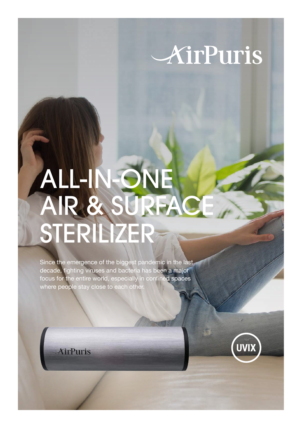# AirPuris

# ALL-IN-ONE AIR & SURFACE STERILIZER

Since the emergence of the biggest pandemic in the last decade, fighting viruses and bacteria has been a major focus for the entire world, especially in confined spaces where people stay close to each other.

*<u>XirPuris</u>* 



**DES**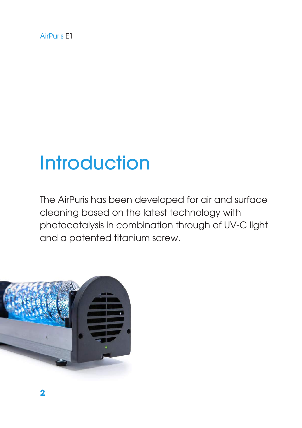AirPuris E1

### **Introduction**

The AirPuris has been developed for air and surface cleaning based on the latest technology with photocatalysis in combination through of UV-C light and a patented titanium screw.

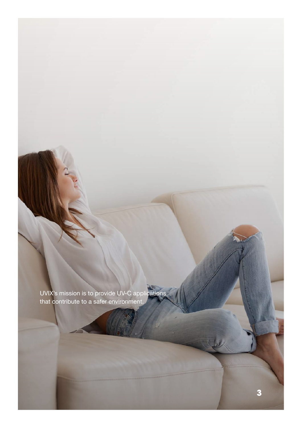UVIX's mission is to provide UV-C applications that contribute to a safer environment.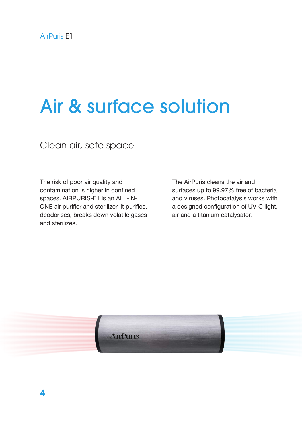### Air & surface solution

Clean air, safe space

The risk of poor air quality and contamination is higher in confined spaces. AIRPURIS-E1 is an ALL-IN-ONE air purifier and sterilizer. It purifies, deodorises, breaks down volatile gases and sterilizes.

The AirPuris cleans the air and surfaces up to 99.97% free of bacteria and viruses. Photocatalysis works with a designed configuration of UV-C light, air and a titanium catalysator.

**XirPuris**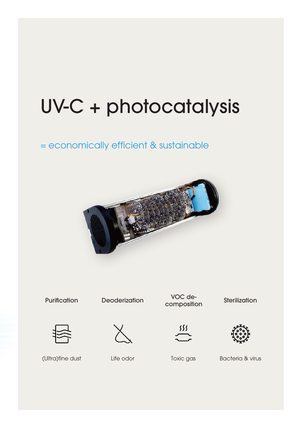## UV-C + photocatalysis

#### = economically efficient & sustainable



**Purification** 

**Deoderization** 

VOC devoc de-<br>composition Sterilization







(Ultra)fine dust

Life odor

Toxic gas Bacteria & virus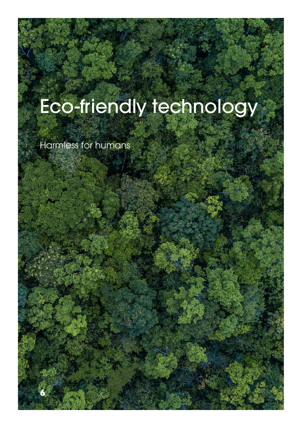### Eco-friendly technology

Harmless for humans

AirPuris E1

**6**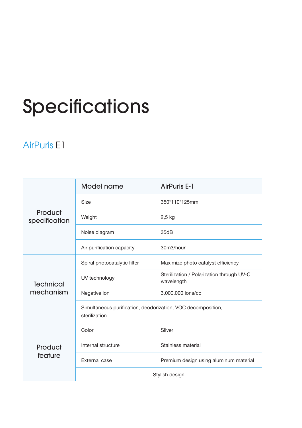### Specifications

#### AirPuris E1

| Product<br>specification      | Model name                                                                    | <b>AirPuris E-1</b>                                     |
|-------------------------------|-------------------------------------------------------------------------------|---------------------------------------------------------|
|                               | <b>Size</b>                                                                   | 350*110*125mm                                           |
|                               | Weight                                                                        | $2,5$ kg                                                |
|                               | Noise diagram                                                                 | 35dB                                                    |
|                               | Air purification capacity                                                     | 30m3/hour                                               |
| <b>Technical</b><br>mechanism | Spiral photocatalytic filter                                                  | Maximize photo catalyst efficiency                      |
|                               | UV technology                                                                 | Sterilization / Polarization through UV-C<br>wavelength |
|                               | Negative ion                                                                  | 3,000,000 ions/cc                                       |
|                               | Simultaneous purification, deodorization, VOC decomposition,<br>sterilization |                                                         |
| Product<br>feature            | Color                                                                         | Silver                                                  |
|                               | Internal structure                                                            | Stainless material                                      |
|                               | External case                                                                 | Premium design using aluminum material                  |
|                               | Stylish design                                                                |                                                         |